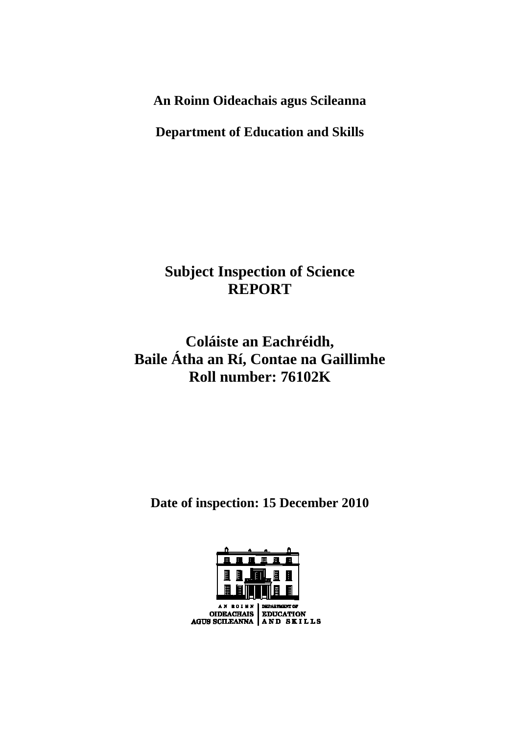**An Roinn Oideachais agus Scileanna** 

**Department of Education and Skills** 

**Subject Inspection of Science REPORT** 

**Coláiste an Eachréidh, Baile Átha an Rí, Contae na Gaillimhe Roll number: 76102K** 

**Date of inspection: 15 December 2010** 

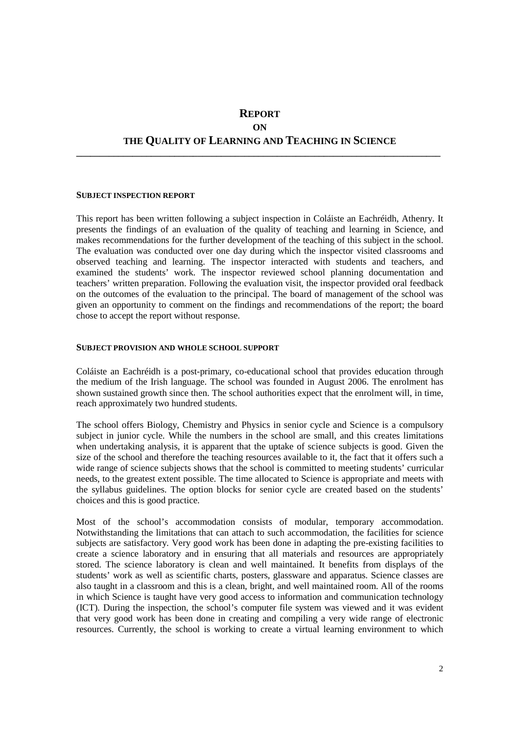# **REPORT**

### **ON**

# **THE QUALITY OF LEARNING AND TEACHING IN SCIENCE \_\_\_\_\_\_\_\_\_\_\_\_\_\_\_\_\_\_\_\_\_\_\_\_\_\_\_\_\_\_\_\_\_\_\_\_\_\_\_\_\_\_\_\_\_\_\_\_\_\_\_\_\_\_\_\_\_\_\_\_\_\_\_\_\_\_\_\_\_\_\_\_\_\_\_\_\_\_**

#### **SUBJECT INSPECTION REPORT**

This report has been written following a subject inspection in Coláiste an Eachréidh, Athenry. It presents the findings of an evaluation of the quality of teaching and learning in Science, and makes recommendations for the further development of the teaching of this subject in the school. The evaluation was conducted over one day during which the inspector visited classrooms and observed teaching and learning. The inspector interacted with students and teachers, and examined the students' work. The inspector reviewed school planning documentation and teachers' written preparation. Following the evaluation visit, the inspector provided oral feedback on the outcomes of the evaluation to the principal. The board of management of the school was given an opportunity to comment on the findings and recommendations of the report; the board chose to accept the report without response.

#### **SUBJECT PROVISION AND WHOLE SCHOOL SUPPORT**

Coláiste an Eachréidh is a post-primary, co-educational school that provides education through the medium of the Irish language. The school was founded in August 2006. The enrolment has shown sustained growth since then. The school authorities expect that the enrolment will, in time, reach approximately two hundred students.

The school offers Biology, Chemistry and Physics in senior cycle and Science is a compulsory subject in junior cycle. While the numbers in the school are small, and this creates limitations when undertaking analysis, it is apparent that the uptake of science subjects is good. Given the size of the school and therefore the teaching resources available to it, the fact that it offers such a wide range of science subjects shows that the school is committed to meeting students' curricular needs, to the greatest extent possible. The time allocated to Science is appropriate and meets with the syllabus guidelines. The option blocks for senior cycle are created based on the students' choices and this is good practice.

Most of the school's accommodation consists of modular, temporary accommodation. Notwithstanding the limitations that can attach to such accommodation, the facilities for science subjects are satisfactory. Very good work has been done in adapting the pre-existing facilities to create a science laboratory and in ensuring that all materials and resources are appropriately stored. The science laboratory is clean and well maintained. It benefits from displays of the students' work as well as scientific charts, posters, glassware and apparatus. Science classes are also taught in a classroom and this is a clean, bright, and well maintained room. All of the rooms in which Science is taught have very good access to information and communication technology (ICT). During the inspection, the school's computer file system was viewed and it was evident that very good work has been done in creating and compiling a very wide range of electronic resources. Currently, the school is working to create a virtual learning environment to which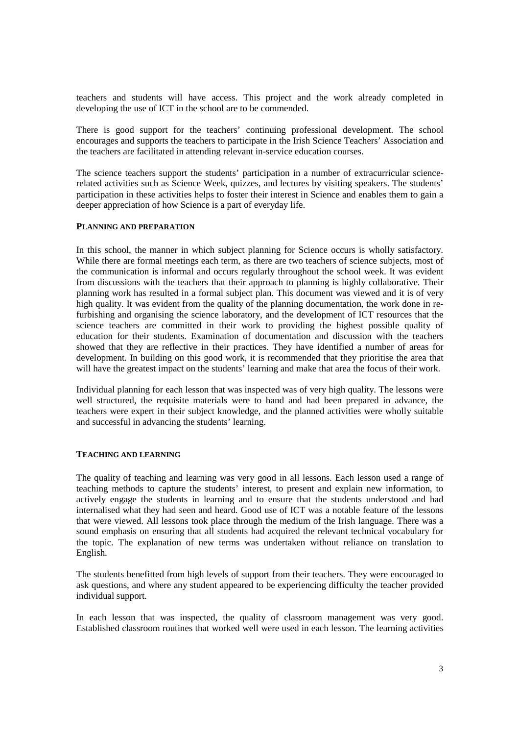teachers and students will have access. This project and the work already completed in developing the use of ICT in the school are to be commended.

There is good support for the teachers' continuing professional development. The school encourages and supports the teachers to participate in the Irish Science Teachers' Association and the teachers are facilitated in attending relevant in-service education courses.

The science teachers support the students' participation in a number of extracurricular sciencerelated activities such as Science Week, quizzes, and lectures by visiting speakers. The students' participation in these activities helps to foster their interest in Science and enables them to gain a deeper appreciation of how Science is a part of everyday life.

## **PLANNING AND PREPARATION**

In this school, the manner in which subject planning for Science occurs is wholly satisfactory. While there are formal meetings each term, as there are two teachers of science subjects, most of the communication is informal and occurs regularly throughout the school week. It was evident from discussions with the teachers that their approach to planning is highly collaborative. Their planning work has resulted in a formal subject plan. This document was viewed and it is of very high quality. It was evident from the quality of the planning documentation, the work done in refurbishing and organising the science laboratory, and the development of ICT resources that the science teachers are committed in their work to providing the highest possible quality of education for their students. Examination of documentation and discussion with the teachers showed that they are reflective in their practices. They have identified a number of areas for development. In building on this good work, it is recommended that they prioritise the area that will have the greatest impact on the students' learning and make that area the focus of their work.

Individual planning for each lesson that was inspected was of very high quality. The lessons were well structured, the requisite materials were to hand and had been prepared in advance, the teachers were expert in their subject knowledge, and the planned activities were wholly suitable and successful in advancing the students' learning.

### **TEACHING AND LEARNING**

The quality of teaching and learning was very good in all lessons. Each lesson used a range of teaching methods to capture the students' interest, to present and explain new information, to actively engage the students in learning and to ensure that the students understood and had internalised what they had seen and heard. Good use of ICT was a notable feature of the lessons that were viewed. All lessons took place through the medium of the Irish language. There was a sound emphasis on ensuring that all students had acquired the relevant technical vocabulary for the topic. The explanation of new terms was undertaken without reliance on translation to English.

The students benefitted from high levels of support from their teachers. They were encouraged to ask questions, and where any student appeared to be experiencing difficulty the teacher provided individual support.

In each lesson that was inspected, the quality of classroom management was very good. Established classroom routines that worked well were used in each lesson. The learning activities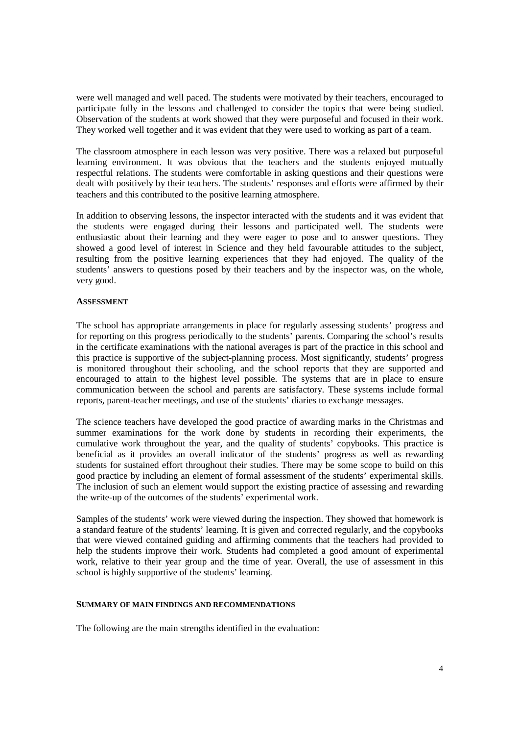were well managed and well paced. The students were motivated by their teachers, encouraged to participate fully in the lessons and challenged to consider the topics that were being studied. Observation of the students at work showed that they were purposeful and focused in their work. They worked well together and it was evident that they were used to working as part of a team.

The classroom atmosphere in each lesson was very positive. There was a relaxed but purposeful learning environment. It was obvious that the teachers and the students enjoyed mutually respectful relations. The students were comfortable in asking questions and their questions were dealt with positively by their teachers. The students' responses and efforts were affirmed by their teachers and this contributed to the positive learning atmosphere.

In addition to observing lessons, the inspector interacted with the students and it was evident that the students were engaged during their lessons and participated well. The students were enthusiastic about their learning and they were eager to pose and to answer questions. They showed a good level of interest in Science and they held favourable attitudes to the subject, resulting from the positive learning experiences that they had enjoyed. The quality of the students' answers to questions posed by their teachers and by the inspector was, on the whole, very good.

### **ASSESSMENT**

The school has appropriate arrangements in place for regularly assessing students' progress and for reporting on this progress periodically to the students' parents. Comparing the school's results in the certificate examinations with the national averages is part of the practice in this school and this practice is supportive of the subject-planning process. Most significantly, students' progress is monitored throughout their schooling, and the school reports that they are supported and encouraged to attain to the highest level possible. The systems that are in place to ensure communication between the school and parents are satisfactory. These systems include formal reports, parent-teacher meetings, and use of the students' diaries to exchange messages.

The science teachers have developed the good practice of awarding marks in the Christmas and summer examinations for the work done by students in recording their experiments, the cumulative work throughout the year, and the quality of students' copybooks. This practice is beneficial as it provides an overall indicator of the students' progress as well as rewarding students for sustained effort throughout their studies. There may be some scope to build on this good practice by including an element of formal assessment of the students' experimental skills. The inclusion of such an element would support the existing practice of assessing and rewarding the write-up of the outcomes of the students' experimental work.

Samples of the students' work were viewed during the inspection. They showed that homework is a standard feature of the students' learning. It is given and corrected regularly, and the copybooks that were viewed contained guiding and affirming comments that the teachers had provided to help the students improve their work. Students had completed a good amount of experimental work, relative to their year group and the time of year. Overall, the use of assessment in this school is highly supportive of the students' learning.

### **SUMMARY OF MAIN FINDINGS AND RECOMMENDATIONS**

The following are the main strengths identified in the evaluation: